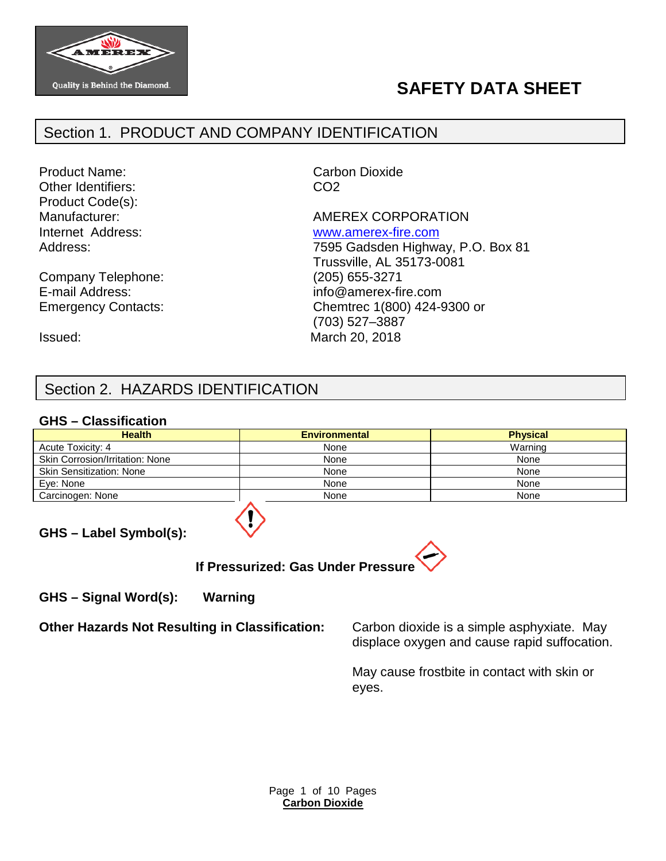

# **SAFETY DATA SHEET**

# Section 1. PRODUCT AND COMPANY IDENTIFICATION

Product Name: Carbon Dioxide Other Identifiers: CO2 Product Code(s):

Company Telephone: (205) 655-3271

Manufacturer: Manufacturer: AMEREX CORPORATION Internet Address: [www.amerex-fire.com](http://www.amerex-fire.com/) Address: Mathematic Mathematic Metal Top 7595 Gadsden Highway, P.O. Box 81 Trussville, AL 35173-0081 E-mail Address: info@amerex-fire.com Emergency Contacts: Chemtrec 1(800) 424-9300 or (703) 527–3887 Issued: March 20, 2018

# Section 2. HAZARDS IDENTIFICATION

### **GHS – Classification**

| <b>Health</b>                   | <b>Environmental</b> | <b>Physical</b> |
|---------------------------------|----------------------|-----------------|
| Acute Toxicity: 4               | None                 | Warning         |
| Skin Corrosion/Irritation: None | None                 | None            |
| <b>Skin Sensitization: None</b> | None                 | None            |
| Eve: None                       | None                 | None            |
| Carcinogen: None                | None                 | None            |

**GHS – Label Symbol(s):**



**GHS – Signal Word(s): Warning**

**Other Hazards Not Resulting in Classification:** Carbon dioxide is a simple asphyxiate. May

displace oxygen and cause rapid suffocation.

May cause frostbite in contact with skin or eyes.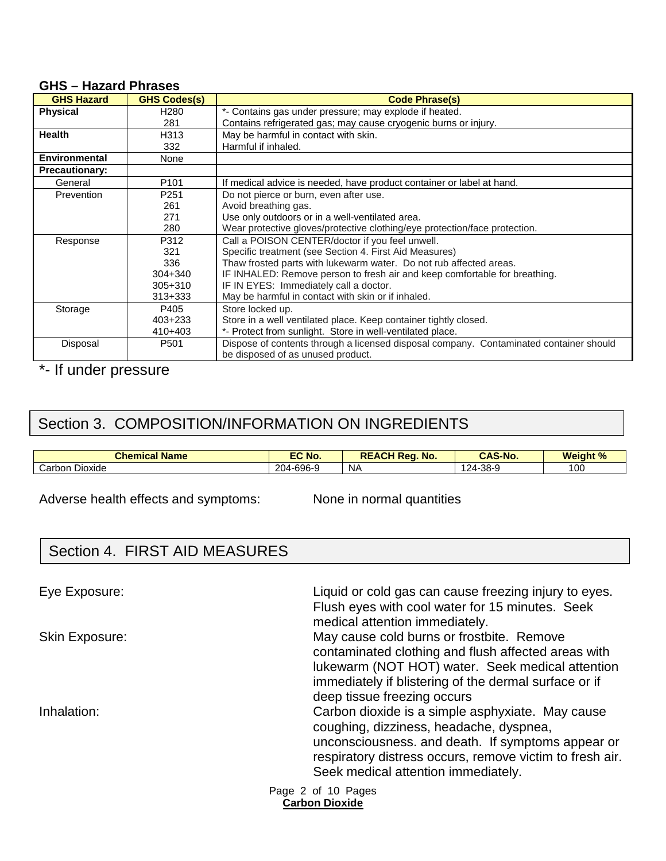| <b>GHS Hazard</b>     | <b>GHS Codes(s)</b> | <b>Code Phrase(s)</b>                                                                  |
|-----------------------|---------------------|----------------------------------------------------------------------------------------|
| <b>Physical</b>       | H <sub>280</sub>    | *- Contains gas under pressure; may explode if heated.                                 |
|                       | 281                 | Contains refrigerated gas; may cause cryogenic burns or injury.                        |
| <b>Health</b>         | H313                | May be harmful in contact with skin.                                                   |
|                       | 332                 | Harmful if inhaled.                                                                    |
| <b>Environmental</b>  | None                |                                                                                        |
| <b>Precautionary:</b> |                     |                                                                                        |
| General               | P <sub>101</sub>    | If medical advice is needed, have product container or label at hand.                  |
| Prevention            | P <sub>251</sub>    | Do not pierce or burn, even after use.                                                 |
|                       | 261                 | Avoid breathing gas.                                                                   |
|                       | 271                 | Use only outdoors or in a well-ventilated area.                                        |
|                       | 280                 | Wear protective gloves/protective clothing/eye protection/face protection.             |
| Response              | P312                | Call a POISON CENTER/doctor if you feel unwell.                                        |
|                       | 321                 | Specific treatment (see Section 4. First Aid Measures)                                 |
|                       | 336                 | Thaw frosted parts with lukewarm water. Do not rub affected areas.                     |
|                       | $304 + 340$         | IF INHALED: Remove person to fresh air and keep comfortable for breathing.             |
|                       | $305 + 310$         | IF IN EYES: Immediately call a doctor.                                                 |
|                       | $313 + 333$         | May be harmful in contact with skin or if inhaled.                                     |
| Storage               | P405                | Store locked up.                                                                       |
|                       | $403 + 233$         | Store in a well ventilated place. Keep container tightly closed.                       |
|                       | $410+403$           | *- Protect from sunlight. Store in well-ventilated place.                              |
| Disposal              | P <sub>501</sub>    | Dispose of contents through a licensed disposal company. Contaminated container should |
|                       |                     | be disposed of as unused product.                                                      |

#### **GHS – Hazard Phrases**

\*- If under pressure

# Section 3. COMPOSITION/INFORMATION ON INGREDIENTS

| <b>Chemical Name</b>        | EC No.    | <b>REACH Rea.</b><br>No. | <b>CAS-No.</b>   | <b>Weight %</b> |
|-----------------------------|-----------|--------------------------|------------------|-----------------|
| - -<br>' Carbon.<br>Dioxide | 204-696-9 | NΑ                       | $-38-9$<br>$24-$ | 100             |

Adverse health effects and symptoms: None in normal quantities

# Section 4. FIRST AID MEASURES

Page 2 of 10 Pages **Carbon Dioxide** Eye Exposure: Liquid or cold gas can cause freezing injury to eyes. Flush eyes with cool water for 15 minutes. Seek medical attention immediately. Skin Exposure: The May cause cold burns or frostbite. Remove contaminated clothing and flush affected areas with lukewarm (NOT HOT) water. Seek medical attention immediately if blistering of the dermal surface or if deep tissue freezing occurs Inhalation: Carbon dioxide is a simple asphyxiate. May cause coughing, dizziness, headache, dyspnea, unconsciousness. and death. If symptoms appear or respiratory distress occurs, remove victim to fresh air. Seek medical attention immediately.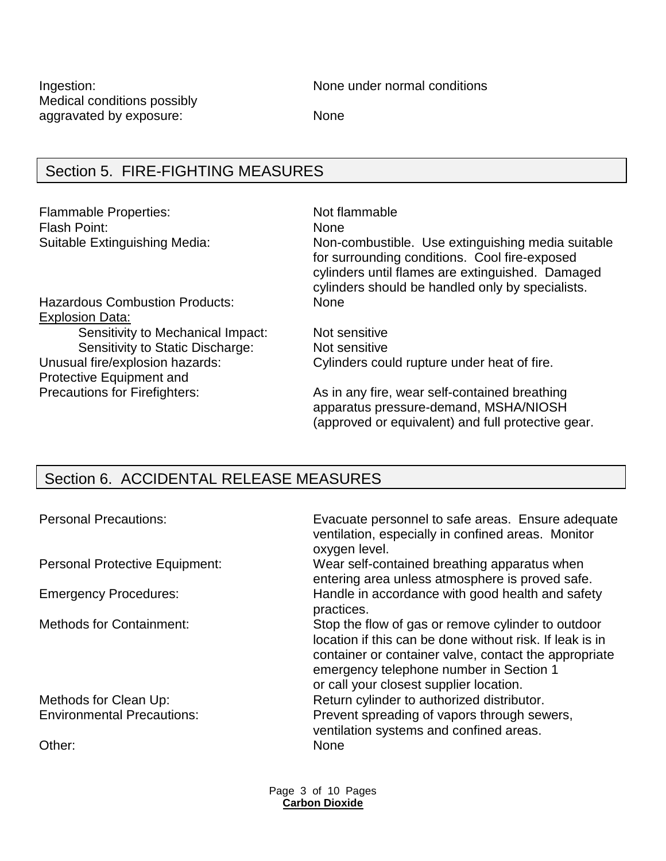Medical conditions possibly aggravated by exposure: None

Ingestion: None under normal conditions

# Section 5. FIRE-FIGHTING MEASURES

Flammable Properties: Not flammable Flash Point: None

Suitable Extinguishing Media: Non-combustible. Use extinguishing media suitable for surrounding conditions. Cool fire-exposed cylinders until flames are extinguished. Damaged cylinders should be handled only by specialists.

Hazardous Combustion Products: None Explosion Data: Sensitivity to Mechanical Impact: Not sensitive Sensitivity to Static Discharge: Not sensitive Protective Equipment and

Unusual fire/explosion hazards: Cylinders could rupture under heat of fire.

Precautions for Firefighters: As in any fire, wear self-contained breathing apparatus pressure-demand, MSHA/NIOSH (approved or equivalent) and full protective gear.

# Section 6. ACCIDENTAL RELEASE MEASURES

| <b>Personal Precautions:</b>          | Evacuate personnel to safe areas. Ensure adequate<br>ventilation, especially in confined areas. Monitor<br>oxygen level.                                                                                                                                      |
|---------------------------------------|---------------------------------------------------------------------------------------------------------------------------------------------------------------------------------------------------------------------------------------------------------------|
| <b>Personal Protective Equipment:</b> | Wear self-contained breathing apparatus when<br>entering area unless atmosphere is proved safe.                                                                                                                                                               |
| <b>Emergency Procedures:</b>          | Handle in accordance with good health and safety<br>practices.                                                                                                                                                                                                |
| <b>Methods for Containment:</b>       | Stop the flow of gas or remove cylinder to outdoor<br>location if this can be done without risk. If leak is in<br>container or container valve, contact the appropriate<br>emergency telephone number in Section 1<br>or call your closest supplier location. |
| Methods for Clean Up:                 | Return cylinder to authorized distributor.                                                                                                                                                                                                                    |
| <b>Environmental Precautions:</b>     | Prevent spreading of vapors through sewers,<br>ventilation systems and confined areas.                                                                                                                                                                        |
| Other:                                | <b>None</b>                                                                                                                                                                                                                                                   |

Page 3 of 10 Pages **Carbon Dioxide**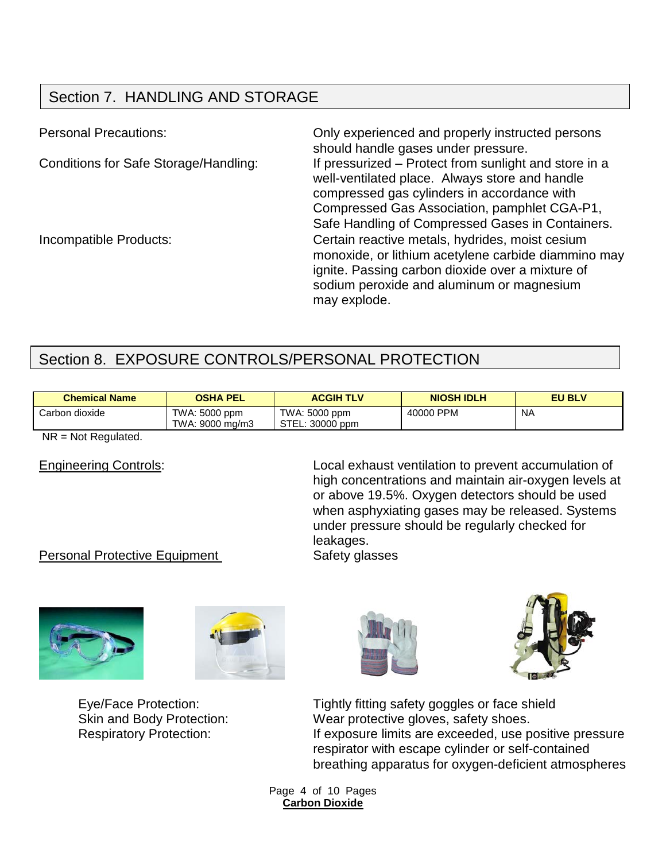# Section 7. HANDLING AND STORAGE

Personal Precautions: Only experienced and properly instructed persons should handle gases under pressure. Conditions for Safe Storage/Handling: If pressurized – Protect from sunlight and store in a well-ventilated place. Always store and handle compressed gas cylinders in accordance with Compressed Gas Association, pamphlet CGA-P1, Safe Handling of Compressed Gases in Containers. Incompatible Products: Certain reactive metals, hydrides, moist cesium monoxide, or lithium acetylene carbide diammino may ignite. Passing carbon dioxide over a mixture of sodium peroxide and aluminum or magnesium may explode.

# Section 8. EXPOSURE CONTROLS/PERSONAL PROTECTION

| <b>Chemical Name</b> | <b>OSHA PEL</b>                  | <b>ACGIH TLV</b>                 | <b>NIOSH IDLH</b> | <b>EU BLV</b> |
|----------------------|----------------------------------|----------------------------------|-------------------|---------------|
| Carbon dioxide       | TWA: 5000 ppm<br>TWA: 9000 mg/m3 | TWA: 5000 ppm<br>STEL: 30000 ppm | 40000 PPM         | <b>NA</b>     |

NR = Not Regulated.

Engineering Controls: Local exhaust ventilation to prevent accumulation of high concentrations and maintain air-oxygen levels at or above 19.5%. Oxygen detectors should be used when asphyxiating gases may be released. Systems under pressure should be regularly checked for leakages.

## Personal Protective Equipment Safety glasses









Eye/Face Protection: Tightly fitting safety goggles or face shield Skin and Body Protection: Wear protective gloves, safety shoes. Respiratory Protection: If exposure limits are exceeded, use positive pressure respirator with escape cylinder or self-contained breathing apparatus for oxygen-deficient atmospheres

> Page 4 of 10 Pages **Carbon Dioxide**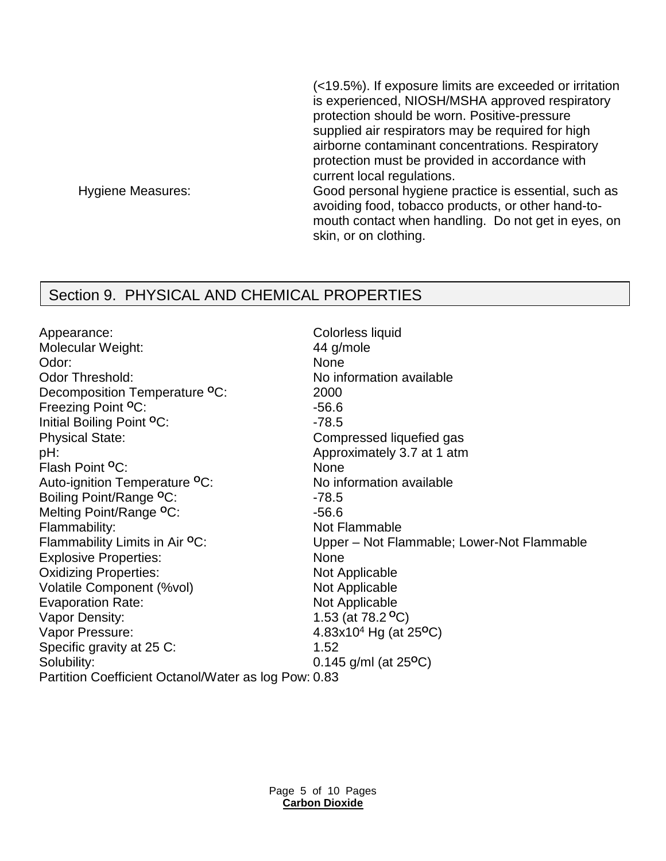(<19.5%). If exposure limits are exceeded or irritation is experienced, NIOSH/MSHA approved respiratory protection should be worn. Positive-pressure supplied air respirators may be required for high airborne contaminant concentrations. Respiratory protection must be provided in accordance with current local regulations. Hygiene Measures: Good personal hygiene practice is essential, such as avoiding food, tobacco products, or other hand-tomouth contact when handling. Do not get in eyes, on skin, or on clothing.

## Section 9. PHYSICAL AND CHEMICAL PROPERTIES

Appearance: Colorless liquid Molecular Weight: 44 g/mole Odor: None Odor Threshold: No information available Decomposition Temperature **<sup>O</sup>**C: 2000 Freezing Point <sup>o</sup>C: 456.6 Initial Boiling Point <sup>O</sup>C: 478.5 Physical State: Compressed liquefied gas pH: Approximately 3.7 at 1 atm Flash Point <sup>o</sup>C: None Auto-ignition Temperature <sup>o</sup>C: No information available Boiling Point/Range <sup>o</sup>C: 478.5 Melting Point/Range °C: 456.6 Flammability: Not Flammable Explosive Properties: None Oxidizing Properties: Not Applicable Volatile Component (%vol) Not Applicable Evaporation Rate: Not Applicable Vapor Density: 1.53 (at 78.2 **<sup>O</sup>**C) Vapor Pressure: 4.83x104 Hg (at 25**<sup>O</sup>**C) Specific gravity at 25 C: 1.52 Solubility: 0.145 g/ml (at 25<sup>o</sup>C)

Flammability Limits in Air <sup>o</sup>C: Upper – Not Flammable; Lower-Not Flammable Partition Coefficient Octanol/Water as log Pow: 0.83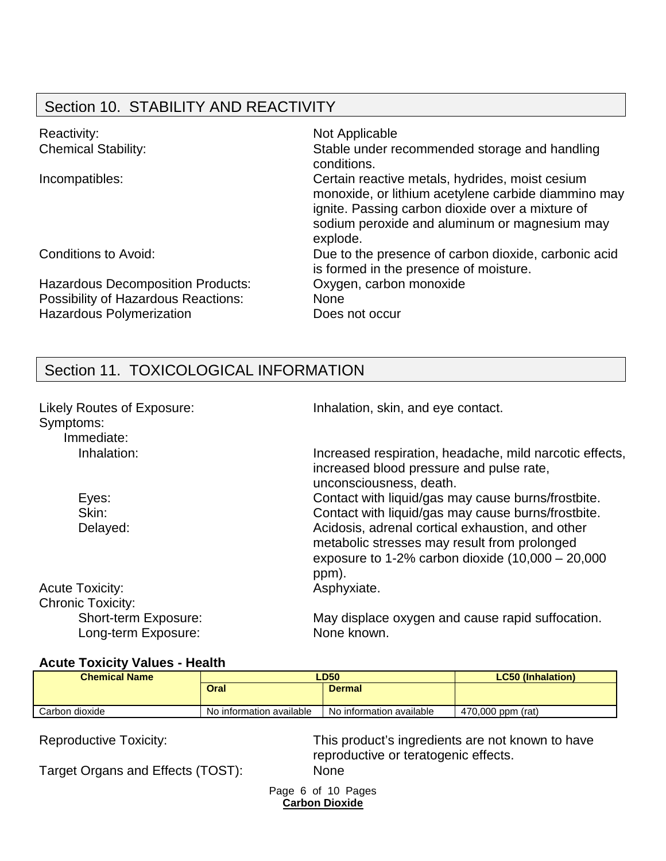# Section 10. STABILITY AND REACTIVITY

| Reactivity:<br><b>Chemical Stability:</b>                                                                                 | Not Applicable<br>Stable under recommended storage and handling<br>conditions.                                                                                                                                          |
|---------------------------------------------------------------------------------------------------------------------------|-------------------------------------------------------------------------------------------------------------------------------------------------------------------------------------------------------------------------|
| Incompatibles:                                                                                                            | Certain reactive metals, hydrides, moist cesium<br>monoxide, or lithium acetylene carbide diammino may<br>ignite. Passing carbon dioxide over a mixture of<br>sodium peroxide and aluminum or magnesium may<br>explode. |
| Conditions to Avoid:                                                                                                      | Due to the presence of carbon dioxide, carbonic acid<br>is formed in the presence of moisture.                                                                                                                          |
| <b>Hazardous Decomposition Products:</b><br><b>Possibility of Hazardous Reactions:</b><br><b>Hazardous Polymerization</b> | Oxygen, carbon monoxide<br><b>None</b><br>Does not occur                                                                                                                                                                |

# Section 11. TOXICOLOGICAL INFORMATION

| Likely Routes of Exposure:<br>Symptoms:<br>Immediate: | Inhalation, skin, and eye contact.                                                                                                                               |
|-------------------------------------------------------|------------------------------------------------------------------------------------------------------------------------------------------------------------------|
| Inhalation:                                           | Increased respiration, headache, mild narcotic effects,<br>increased blood pressure and pulse rate,<br>unconsciousness, death.                                   |
| Eyes:                                                 | Contact with liquid/gas may cause burns/frostbite.                                                                                                               |
| Skin:                                                 | Contact with liquid/gas may cause burns/frostbite.                                                                                                               |
| Delayed:                                              | Acidosis, adrenal cortical exhaustion, and other<br>metabolic stresses may result from prolonged<br>exposure to 1-2% carbon dioxide $(10,000 - 20,000)$<br>ppm). |
| <b>Acute Toxicity:</b>                                | Asphyxiate.                                                                                                                                                      |
| <b>Chronic Toxicity:</b>                              |                                                                                                                                                                  |
| Short-term Exposure:<br>Long-term Exposure:           | May displace oxygen and cause rapid suffocation.<br>None known.                                                                                                  |

## **Acute Toxicity Values - Health**

| <b>Chemical Name</b> | LD50                     |                          | <b>LC50 (Inhalation)</b> |
|----------------------|--------------------------|--------------------------|--------------------------|
|                      | <b>Oral</b>              | <b>Dermal</b>            |                          |
| Carbon dioxide       | No information available | No information available | 470,000 ppm (rat)        |

Reproductive Toxicity: This product's ingredients are not known to have reproductive or teratogenic effects.

Target Organs and Effects (TOST): None

Page 6 of 10 Pages **Carbon Dioxide**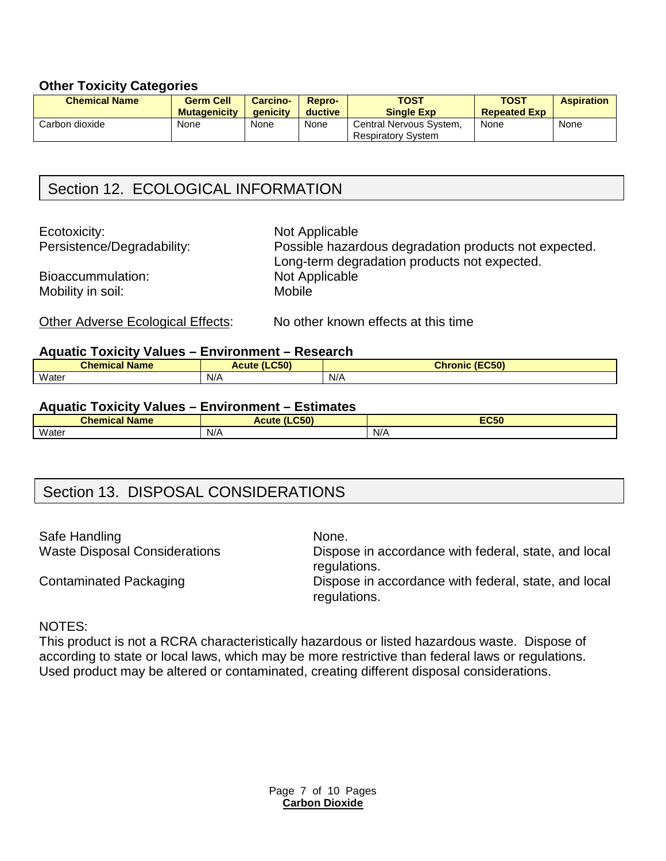#### **Other Toxicity Categories**

| <b>Chemical Name</b> | <b>Germ Cell</b><br><b>Mutagenicity</b> | <b>Carcino-</b><br>aenicity | Repro-<br>ductive | <b>TOST</b><br><b>Single Exp</b>                     | <b>TOST</b><br><b>Repeated Exp</b> | <b>Aspiration</b> |
|----------------------|-----------------------------------------|-----------------------------|-------------------|------------------------------------------------------|------------------------------------|-------------------|
| Carbon dioxide       | None                                    | None                        | None              | Central Nervous System.<br><b>Respiratory System</b> | None                               | None              |

# Section 12. ECOLOGICAL INFORMATION

Ecotoxicity: Not Applicable

Persistence/Degradability: Possible hazardous degradation products not expected. Long-term degradation products not expected. Bioaccummulation: Not Applicable Mobility in soil: Mobile

Other Adverse Ecological Effects: No other known effects at this time

#### **Aquatic Toxicity Values – Environment – Research**

| __<br>_____<br><b>Chemical Name</b> | .<br>$\mathbf{H}$ of $\mathbf{H}$<br>Acute<br>ЮU | (EC50)<br><b>Chronic</b> |
|-------------------------------------|--------------------------------------------------|--------------------------|
| Water                               | N/A                                              | N/A                      |

#### **Aquatic Toxicity Values – Environment – Estimates**

| .<br><b>Chemical</b><br><b>Name</b> | CEN<br>$\overline{a}$<br>Acute<br>ucu | <b>FOED</b><br>EC <sub>20</sub> |
|-------------------------------------|---------------------------------------|---------------------------------|
| Water                               | .<br>$N/\sqrt{2}$                     | N/A                             |

## Section 13. DISPOSAL CONSIDERATIONS

Safe Handling None. Waste Disposal Considerations Dispose in accordance with federal, state, and local

regulations.

Contaminated Packaging **Dispose in accordance with federal, state, and local** regulations.

#### NOTES:

This product is not a RCRA characteristically hazardous or listed hazardous waste. Dispose of according to state or local laws, which may be more restrictive than federal laws or regulations. Used product may be altered or contaminated, creating different disposal considerations.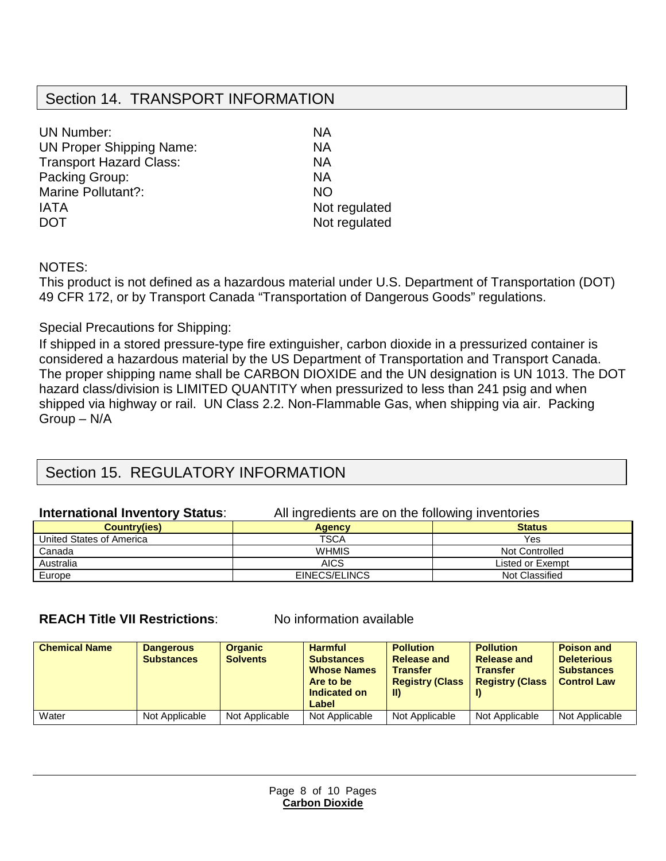## Section 14. TRANSPORT INFORMATION

| <b>UN Number:</b>               | ΝA            |
|---------------------------------|---------------|
|                                 |               |
| <b>UN Proper Shipping Name:</b> | NА            |
| <b>Transport Hazard Class:</b>  | ΝA            |
| Packing Group:                  | ΝA            |
| Marine Pollutant?:              | <b>NO</b>     |
| <b>IATA</b>                     | Not regulated |
| <b>DOT</b>                      | Not regulated |
|                                 |               |

NOTES:

This product is not defined as a hazardous material under U.S. Department of Transportation (DOT) 49 CFR 172, or by Transport Canada "Transportation of Dangerous Goods" regulations.

## Special Precautions for Shipping:

If shipped in a stored pressure-type fire extinguisher, carbon dioxide in a pressurized container is considered a hazardous material by the US Department of Transportation and Transport Canada. The proper shipping name shall be CARBON DIOXIDE and the UN designation is UN 1013. The DOT hazard class/division is LIMITED QUANTITY when pressurized to less than 241 psig and when shipped via highway or rail. UN Class 2.2. Non-Flammable Gas, when shipping via air. Packing Group – N/A

# Section 15. REGULATORY INFORMATION

#### **International Inventory Status:** All ingredients are on the following inventories **Country(ies) Agency Country(ies) Status** United States of America **TSCA** TSCA Yes Canada WHMIS Not Controlled Australia AICS Listed or Exempt **AICS** Listed or Exempt **AICS** Listed or Exempt **AICS** Listed or Exempt **AICS** Listed or Exempt **AICS** Listed or Exempt **AICS** Listed or Exempt **AICS** Listed **AICS** Listed **AICS** Listed **AIC** Europe EINECS/ELINCS

## **REACH Title VII Restrictions:** No information available

| <b>Chemical Name</b> | <b>Dangerous</b><br><b>Substances</b> | <b>Organic</b><br><b>Solvents</b> | <b>Harmful</b><br><b>Substances</b><br><b>Whose Names</b><br>Are to be<br>Indicated on<br>Label | <b>Pollution</b><br>Release and<br><b>Transfer</b><br><b>Registry (Class</b><br>-II) | <b>Pollution</b><br><b>Release and</b><br><b>Transfer</b><br><b>Registry (Class</b> | <b>Poison and</b><br><b>Deleterious</b><br><b>Substances</b><br><b>Control Law</b> |
|----------------------|---------------------------------------|-----------------------------------|-------------------------------------------------------------------------------------------------|--------------------------------------------------------------------------------------|-------------------------------------------------------------------------------------|------------------------------------------------------------------------------------|
| Water                | Not Applicable                        | Not Applicable                    | Not Applicable                                                                                  | Not Applicable                                                                       | Not Applicable                                                                      | Not Applicable                                                                     |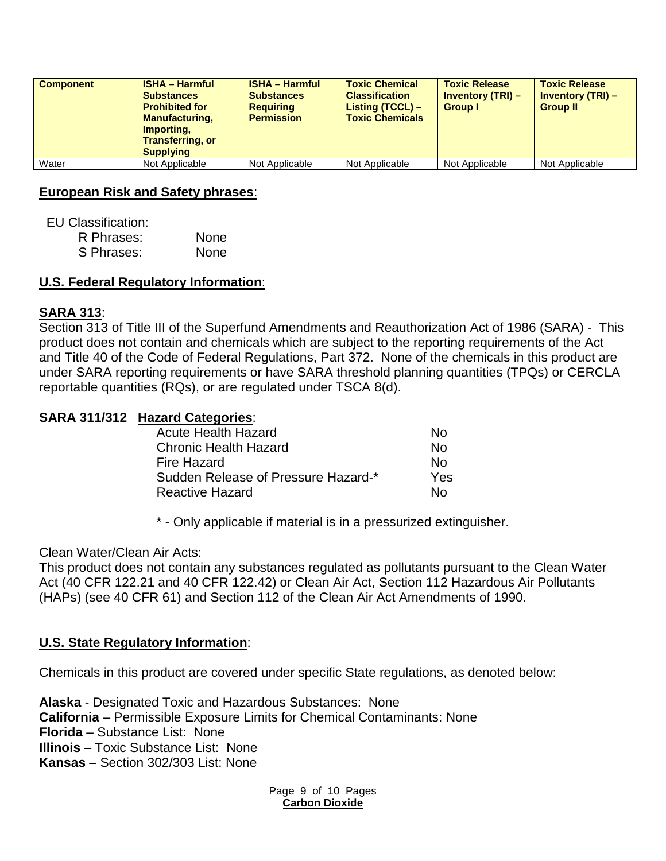| <b>Component</b> | <b>ISHA - Harmful</b><br><b>Substances</b><br><b>Prohibited for</b><br><b>Manufacturing,</b><br>Importing,<br><b>Transferring, or</b><br><b>Supplying</b> | <b>ISHA - Harmful</b><br><b>Substances</b><br><b>Requiring</b><br><b>Permission</b> | <b>Toxic Chemical</b><br><b>Classification</b><br>Listing (TCCL) -<br><b>Toxic Chemicals</b> | <b>Toxic Release</b><br><b>Inventory (TRI) –</b><br><b>Group I</b> | <b>Toxic Release</b><br><b>Inventory (TRI) -</b><br><b>Group II</b> |
|------------------|-----------------------------------------------------------------------------------------------------------------------------------------------------------|-------------------------------------------------------------------------------------|----------------------------------------------------------------------------------------------|--------------------------------------------------------------------|---------------------------------------------------------------------|
| Water            | Not Applicable                                                                                                                                            | Not Applicable                                                                      | Not Applicable                                                                               | Not Applicable                                                     | Not Applicable                                                      |

### **European Risk and Safety phrases**:

EU Classification:

| R Phrases: | None |
|------------|------|
| S Phrases: | None |

## **U.S. Federal Regulatory Information**:

## **SARA 313**:

Section 313 of Title III of the Superfund Amendments and Reauthorization Act of 1986 (SARA) - This product does not contain and chemicals which are subject to the reporting requirements of the Act and Title 40 of the Code of Federal Regulations, Part 372. None of the chemicals in this product are under SARA reporting requirements or have SARA threshold planning quantities (TPQs) or CERCLA reportable quantities (RQs), or are regulated under TSCA 8(d).

## **SARA 311/312 Hazard Categories**:

| <b>Acute Health Hazard</b>          | N٥  |
|-------------------------------------|-----|
| <b>Chronic Health Hazard</b>        | Nο  |
| Fire Hazard                         | N٥  |
| Sudden Release of Pressure Hazard-* | Yes |
| <b>Reactive Hazard</b>              | N٥  |

\* - Only applicable if material is in a pressurized extinguisher.

### Clean Water/Clean Air Acts:

This product does not contain any substances regulated as pollutants pursuant to the Clean Water Act (40 CFR 122.21 and 40 CFR 122.42) or Clean Air Act, Section 112 Hazardous Air Pollutants (HAPs) (see 40 CFR 61) and Section 112 of the Clean Air Act Amendments of 1990.

### **U.S. State Regulatory Information**:

Chemicals in this product are covered under specific State regulations, as denoted below:

**Alaska** - Designated Toxic and Hazardous Substances: None **California** – Permissible Exposure Limits for Chemical Contaminants: None **Florida** – Substance List: None **Illinois** – Toxic Substance List: None **Kansas** – Section 302/303 List: None

> Page 9 of 10 Pages **Carbon Dioxide**